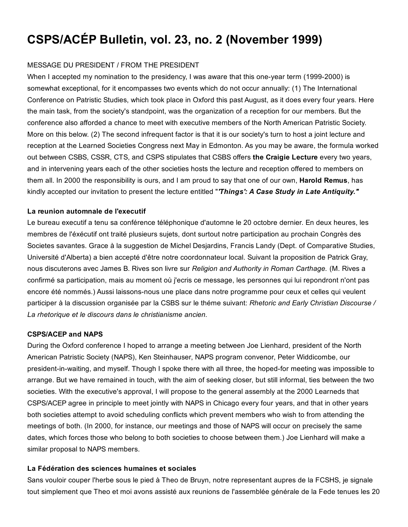# CSPS/ACÉP Bulletin, vol. 23, no. 2 (November 1999)

## MESSAGE DU PRESIDENT / FROM THE PRESIDENT

When I accepted my nomination to the presidency, I was aware that this one-year term (1999-2000) is somewhat exceptional, for it encompasses two events which do not occur annually: (1) The International Conference on Patristic Studies, which took place in Oxford this past August, as it does every four years. Here the main task, from the society's standpoint, was the organization of a reception for our members. But the conference also afforded a chance to meet with executive members of the North American Patristic Society. More on this below. (2) The second infrequent factor is that it is our society's turn to host a joint lecture and reception at the Learned Societies Congress next May in Edmonton. As you may be aware, the formula worked out between CSBS, CSSR, CTS, and CSPS stipulates that CSBS offers the Craigie Lecture every two years, and in intervening years each of the other societies hosts the lecture and reception offered to members on them all. In 2000 the responsibility is ours, and I am proud to say that one of our own, **Harold Remus**, has kindly accepted our invitation to present the lecture entitled "*'Things': A Case Study in Late Antiquity."*

#### La reunion automnale de l'executif

Le bureau executif a tenu sa conférence téléphonique d'automne le 20 octobre dernier. En deux heures, les membres de l'éxécutif ont traité plusieurs sujets, dont surtout notre participation au prochain Congrès des Societes savantes. Grace à la suggestion de Michel Desjardins, Francis Landy (Dept. of Comparative Studies, Université d'Alberta) a bien accepté d'être notre coordonnateur local. Suivant la proposition de Patrick Gray, nous discuterons avec James B. Rives son livre sur *Religion and Authority in Roman Carthage.* (M. Rives a confirmé sa participation, mais au moment où j'ecris ce message, les personnes qui lui repondront n'ont pas encore été nommés.) Aussi laissons-nous une place dans notre programme pour ceux et celles qui veulent participer à la discussion organisée par la CSBS sur le théme suivant: *Rhetoric and Early Christian Discourse / La rhetorique et le discours dans le christianisme ancien.*

## CSPS/ACEP and NAPS

During the Oxford conference I hoped to arrange a meeting between Joe Lienhard, president of the North American Patristic Society (NAPS), Ken Steinhauser, NAPS program convenor, Peter Widdicombe, our president-in-waiting, and myself. Though I spoke there with all three, the hoped-for meeting was impossible to arrange. But we have remained in touch, with the aim of seeking closer, but still informal, ties between the two societies. With the executive's approval, I will propose to the general assembly at the 2000 Learneds that CSPS/ACEP agree in principle to meet jointly with NAPS in Chicago every four years, and that in other years both societies attempt to avoid scheduling conflicts which prevent members who wish to from attending the meetings of both. (In 2000, for instance, our meetings and those of NAPS will occur on precisely the same dates, which forces those who belong to both societies to choose between them.) Joe Lienhard will make a similar proposal to NAPS members.

## La Fédération des sciences humaines et sociales

Sans vouloir couper l'herbe sous le pied à Theo de Bruyn, notre representant aupres de la FCSHS, je signale tout simplement que Theo et moi avons assisté aux reunions de l'assemblée générale de la Fede tenues les 20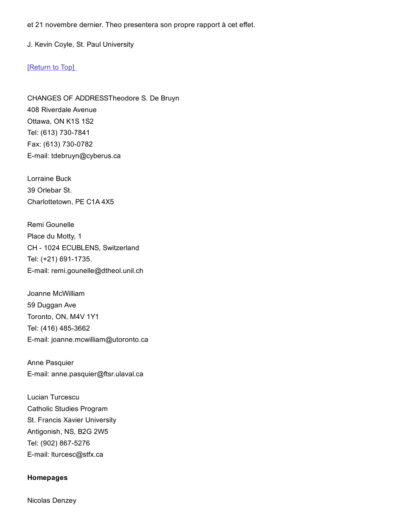et 21 novembre dernier. Theo presentera son propre rapport à cet effet.

J. Kevin Coyle, St. Paul University

#### [\[Return](http://web.archive.org/web/20150201000931/http://www2.ccsr.ca/csps/nov1999.html#TOP) to Top]

CHANGES OF ADDRESSTheodore S. De Bruyn 408 Riverdale Avenue Ottawa, ON K1S 1S2 Tel: (613) 730-7841 Fax: (613) 730-0782 E-mail: tdebruyn@cyberus.ca

Lorraine Buck 39 Orlebar St. Charlottetown, PE C1A 4X5

Remi Gounelle Place du Motty, 1 CH - 1024 ECUBLENS, Switzerland Tel: (+21) 691-1735. Email: remi.gounelle@dtheol.unil.ch

Joanne McWilliam 59 Duggan Ave Toronto, ON, M4V 1Y1 Tel: (416) 485-3662 E-mail: joanne.mcwilliam@utoronto.ca

Anne Pasquier Email: anne.pasquier@ftsr.ulaval.ca

Lucian Turcescu Catholic Studies Program St. Francis Xavier University Antigonish, NS, B2G 2W5 Tel: (902) 867-5276 E-mail: lturcesc@stfx.ca

#### Homepages

Nicolas Denzey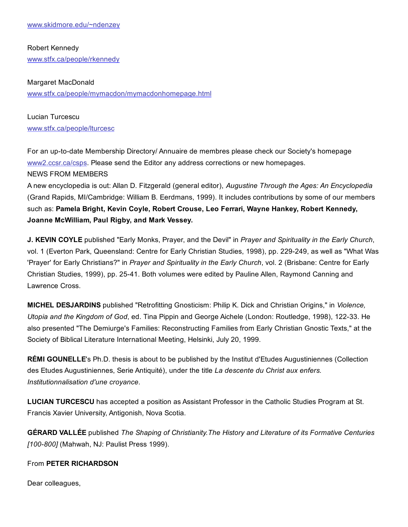Robert Kennedy [www.stfx.ca/people/rkennedy](http://web.archive.org/web/20150201000931/http://www.stfx.ca/people/rkennedy)

### Margaret MacDonald

[www.stfx.ca/people/mymacdon/mymacdonhomepage.html](http://web.archive.org/web/20150201000931/http://www.stfx.ca/people/mymacdon/mymacdonhomepage.html)

Lucian Turcescu [www.stfx.ca/people/lturcesc](http://web.archive.org/web/20150201000931/http://www.stfx.ca/people/lturcesc)

For an up-to-date Membership Directory/ Annuaire de membres please check our Society's homepage [www2.ccsr.ca/csps](http://web.archive.org/web/20150201000931/http://www2.ccsr.ca/csps). Please send the Editor any address corrections or new homepages.

NEWS FROM MEMBERS

A new encyclopedia is out: Allan D. Fitzgerald (general editor), *Augustine Through the Ages: An Encyclopedia* (Grand Rapids, MI/Cambridge: William B. Eerdmans, 1999). It includes contributions by some of our members such as: Pamela Bright, Kevin Coyle, Robert Crouse, Leo Ferrari, Wayne Hankey, Robert Kennedy, Joanne McWilliam, Paul Rigby, and Mark Vessey.

J. KEVIN COYLE published "Early Monks, Prayer, and the Devil" in *Prayer and Spirituality in the Early Church*, vol. 1 (Everton Park, Queensland: Centre for Early Christian Studies, 1998), pp. 229-249, as well as "What Was 'Prayer' for Early Christians?" in *Prayer and Spirituality in the Early Church*, vol. 2 (Brisbane: Centre for Early Christian Studies, 1999), pp. 2541. Both volumes were edited by Pauline Allen, Raymond Canning and Lawrence Cross.

MICHEL DESJARDINS published "Retrofitting Gnosticism: Philip K. Dick and Christian Origins," in *Violence, Utopia and the Kingdom of God*, ed. Tina Pippin and George Aichele (London: Routledge, 1998), 12233. He also presented "The Demiurge's Families: Reconstructing Families from Early Christian Gnostic Texts," at the Society of Biblical Literature International Meeting, Helsinki, July 20, 1999.

RÉMI GOUNELLE's Ph.D. thesis is about to be published by the Institut d'Etudes Augustiniennes (Collection des Etudes Augustiniennes, Serie Antiquité), under the title *La descente du Christ aux enfers. Institutionnalisation d'une croyance*.

LUCIAN TURCESCU has accepted a position as Assistant Professor in the Catholic Studies Program at St. Francis Xavier University, Antigonish, Nova Scotia.

GÉRARD VALLÉE published *The Shaping of Christianity.The History and Literature of its Formative Centuries [100-800]* (Mahwah, NJ: Paulist Press 1999).

From PETER RICHARDSON

Dear colleagues,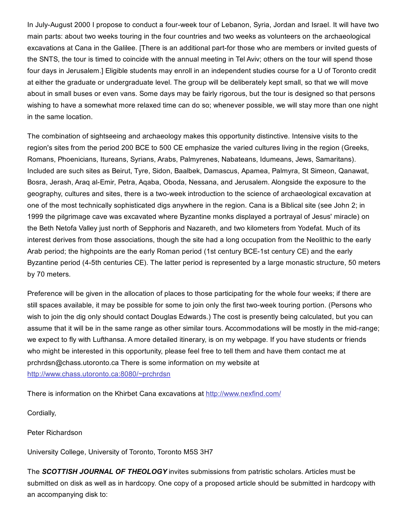In July-August 2000 I propose to conduct a four-week tour of Lebanon, Syria, Jordan and Israel. It will have two main parts: about two weeks touring in the four countries and two weeks as volunteers on the archaeological excavations at Cana in the Galilee. [There is an additional part-for those who are members or invited guests of the SNTS, the tour is timed to coincide with the annual meeting in Tel Aviv; others on the tour will spend those four days in Jerusalem.] Eligible students may enroll in an independent studies course for a U of Toronto credit at either the graduate or undergraduate level. The group will be deliberately kept small, so that we will move about in small buses or even vans. Some days may be fairly rigorous, but the tour is designed so that persons wishing to have a somewhat more relaxed time can do so; whenever possible, we will stay more than one night in the same location.

The combination of sightseeing and archaeology makes this opportunity distinctive. Intensive visits to the region's sites from the period 200 BCE to 500 CE emphasize the varied cultures living in the region (Greeks, Romans, Phoenicians, Itureans, Syrians, Arabs, Palmyrenes, Nabateans, Idumeans, Jews, Samaritans). Included are such sites as Beirut, Tyre, Sidon, Baalbek, Damascus, Apamea, Palmyra, St Simeon, Qanawat, Bosra, Jerash, Arag al-Emir, Petra, Agaba, Oboda, Nessana, and Jerusalem. Alongside the exposure to the geography, cultures and sites, there is a two-week introduction to the science of archaeological excavation at one of the most technically sophisticated digs anywhere in the region. Cana is a Biblical site (see John 2; in 1999 the pilgrimage cave was excavated where Byzantine monks displayed a portrayal of Jesus' miracle) on the Beth Netofa Valley just north of Sepphoris and Nazareth, and two kilometers from Yodefat. Much of its interest derives from those associations, though the site had a long occupation from the Neolithic to the early Arab period; the highpoints are the early Roman period (1st century BCE-1st century CE) and the early Byzantine period (45th centuries CE). The latter period is represented by a large monastic structure, 50 meters by 70 meters.

Preference will be given in the allocation of places to those participating for the whole four weeks; if there are still spaces available, it may be possible for some to join only the first twoweek touring portion. (Persons who wish to join the dig only should contact Douglas Edwards.) The cost is presently being calculated, but you can assume that it will be in the same range as other similar tours. Accommodations will be mostly in the mid-range; we expect to fly with Lufthansa. A more detailed itinerary, is on my webpage. If you have students or friends who might be interested in this opportunity, please feel free to tell them and have them contact me at prchrdsn@chass.utoronto.ca There is some information on my website at [http://www.chass.utoronto.ca:8080/~prchrdsn](http://web.archive.org/web/20150201000931/http://www.chass.utoronto.ca:8080/~prchrdsn)

There is information on the Khirbet Cana excavations at [http://www.nexfind.com/](http://web.archive.org/web/20150201000931/http://www.nexfind.com/)

Cordially,

## Peter Richardson

University College, University of Toronto, Toronto M5S 3H7

The *SCOTTISH JOURNAL OF THEOLOGY* invites submissions from patristic scholars. Articles must be submitted on disk as well as in hardcopy. One copy of a proposed article should be submitted in hardcopy with an accompanying disk to: